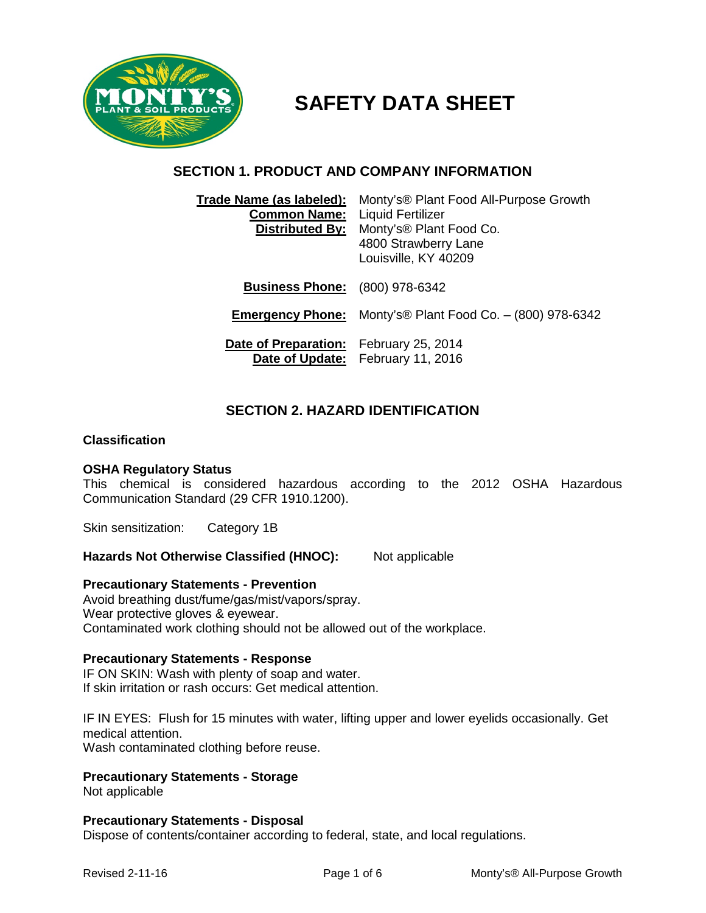

# **SAFETY DATA SHEET**

## **SECTION 1. PRODUCT AND COMPANY INFORMATION**

| Trade Name (as labeled):                      | Monty's <sup>®</sup> Plant Food All-Purpose Growth |
|-----------------------------------------------|----------------------------------------------------|
| <b>Common Name:</b>                           | <b>Liquid Fertilizer</b>                           |
| <b>Distributed By:</b>                        | Monty's® Plant Food Co.                            |
|                                               | 4800 Strawberry Lane                               |
|                                               | Louisville, KY 40209                               |
|                                               |                                                    |
| <b>Business Phone:</b> (800) 978-6342         |                                                    |
|                                               |                                                    |
| <b>Emergency Phone:</b>                       | Monty's® Plant Food Co. - (800) 978-6342           |
|                                               |                                                    |
| <b>Date of Preparation:</b> February 25, 2014 |                                                    |
|                                               | Date of Update: February 11, 2016                  |

## **SECTION 2. HAZARD IDENTIFICATION**

#### **Classification**

#### **OSHA Regulatory Status**

This chemical is considered hazardous according to the 2012 OSHA Hazardous Communication Standard (29 CFR 1910.1200).

Skin sensitization: Category 1B

Hazards Not Otherwise Classified (HNOC): Not applicable

#### **Precautionary Statements - Prevention**

Avoid breathing dust/fume/gas/mist/vapors/spray. Wear protective gloves & eyewear. Contaminated work clothing should not be allowed out of the workplace.

#### **Precautionary Statements - Response**

IF ON SKIN: Wash with plenty of soap and water. If skin irritation or rash occurs: Get medical attention.

IF IN EYES: Flush for 15 minutes with water, lifting upper and lower eyelids occasionally. Get medical attention.

Wash contaminated clothing before reuse.

#### **Precautionary Statements - Storage**

Not applicable

#### **Precautionary Statements - Disposal**

Dispose of contents/container according to federal, state, and local regulations.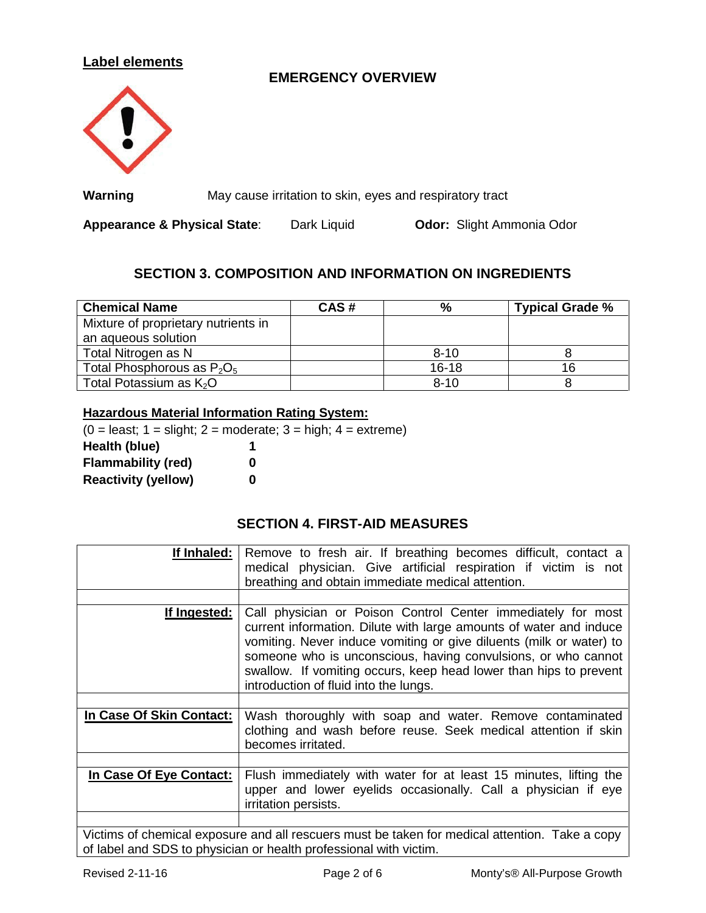## **Label elements**

# **EMERGENCY OVERVIEW**



**Warning** May cause irritation to skin, eyes and respiratory tract

**Appearance & Physical State**: Dark Liquid **Odor:** Slight Ammonia Odor

## **SECTION 3. COMPOSITION AND INFORMATION ON INGREDIENTS**

| <b>Chemical Name</b>                | CAS# | $\%$      | <b>Typical Grade %</b> |
|-------------------------------------|------|-----------|------------------------|
| Mixture of proprietary nutrients in |      |           |                        |
| an aqueous solution                 |      |           |                        |
| Total Nitrogen as N                 |      | $8 - 10$  |                        |
| Total Phosphorous as $P_2O_5$       |      | $16 - 18$ | 16                     |
| Total Potassium as $K2O$            |      | $8 - 10$  |                        |

#### **Hazardous Material Information Rating System:**

 $(0 =$  least;  $1 =$  slight;  $2 =$  moderate;  $3 =$  high;  $4 =$  extreme) **Health (blue) 1 Flammability (red) 0 Reactivity (yellow) 0**

### **SECTION 4. FIRST-AID MEASURES**

| If Inhaled:              | Remove to fresh air. If breathing becomes difficult, contact a<br>medical physician. Give artificial respiration if victim is not<br>breathing and obtain immediate medical attention.                                                                                                                                                                                                   |
|--------------------------|------------------------------------------------------------------------------------------------------------------------------------------------------------------------------------------------------------------------------------------------------------------------------------------------------------------------------------------------------------------------------------------|
| <u>If Ingested:</u>      | Call physician or Poison Control Center immediately for most<br>current information. Dilute with large amounts of water and induce<br>vomiting. Never induce vomiting or give diluents (milk or water) to<br>someone who is unconscious, having convulsions, or who cannot<br>swallow. If vomiting occurs, keep head lower than hips to prevent<br>introduction of fluid into the lungs. |
|                          |                                                                                                                                                                                                                                                                                                                                                                                          |
| In Case Of Skin Contact: | Wash thoroughly with soap and water. Remove contaminated<br>clothing and wash before reuse. Seek medical attention if skin<br>becomes irritated.                                                                                                                                                                                                                                         |
|                          |                                                                                                                                                                                                                                                                                                                                                                                          |
| In Case Of Eye Contact:  | Flush immediately with water for at least 15 minutes, lifting the<br>upper and lower eyelids occasionally. Call a physician if eye<br>irritation persists.                                                                                                                                                                                                                               |
|                          | Matinee of changeland associated all secondores period ha tolera for peopleol attention<br>$T = 1.2$ $\pm 2.2$                                                                                                                                                                                                                                                                           |

Victims of chemical exposure and all rescuers must be taken for medical attention. Take a copy of label and SDS to physician or health professional with victim.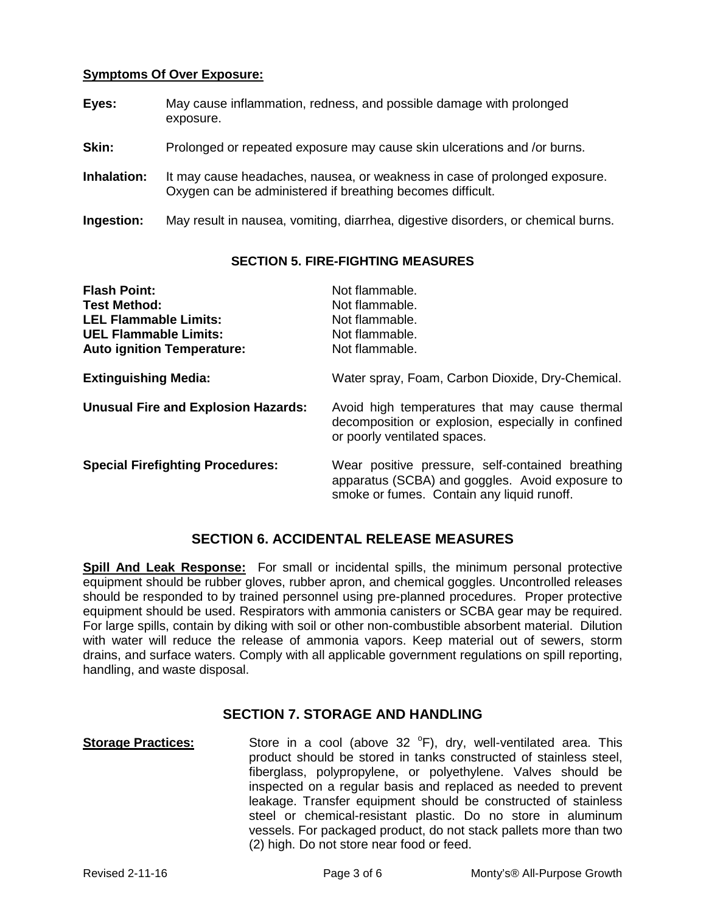#### **Symptoms Of Over Exposure:**

- **Eyes:** May cause inflammation, redness, and possible damage with prolonged exposure.
- **Skin:** Prolonged or repeated exposure may cause skin ulcerations and /or burns.
- **Inhalation:** It may cause headaches, nausea, or weakness in case of prolonged exposure. Oxygen can be administered if breathing becomes difficult.
- **Ingestion:** May result in nausea, vomiting, diarrhea, digestive disorders, or chemical burns.

#### **SECTION 5. FIRE-FIGHTING MEASURES**

| <b>Flash Point:</b>                        | Not flammable.                                                                                                                                    |
|--------------------------------------------|---------------------------------------------------------------------------------------------------------------------------------------------------|
| <b>Test Method:</b>                        | Not flammable.                                                                                                                                    |
| <b>LEL Flammable Limits:</b>               | Not flammable.                                                                                                                                    |
| <b>UEL Flammable Limits:</b>               | Not flammable.                                                                                                                                    |
| <b>Auto ignition Temperature:</b>          | Not flammable.                                                                                                                                    |
| <b>Extinguishing Media:</b>                | Water spray, Foam, Carbon Dioxide, Dry-Chemical.                                                                                                  |
| <b>Unusual Fire and Explosion Hazards:</b> | Avoid high temperatures that may cause thermal<br>decomposition or explosion, especially in confined<br>or poorly ventilated spaces.              |
| <b>Special Firefighting Procedures:</b>    | Wear positive pressure, self-contained breathing<br>apparatus (SCBA) and goggles. Avoid exposure to<br>smoke or fumes. Contain any liquid runoff. |

## **SECTION 6. ACCIDENTAL RELEASE MEASURES**

**Spill And Leak Response:** For small or incidental spills, the minimum personal protective equipment should be rubber gloves, rubber apron, and chemical goggles. Uncontrolled releases should be responded to by trained personnel using pre-planned procedures. Proper protective equipment should be used. Respirators with ammonia canisters or SCBA gear may be required. For large spills, contain by diking with soil or other non-combustible absorbent material. Dilution with water will reduce the release of ammonia vapors. Keep material out of sewers, storm drains, and surface waters. Comply with all applicable government regulations on spill reporting, handling, and waste disposal.

#### **SECTION 7. STORAGE AND HANDLING**

Storage Practices: Store in a cool (above 32 <sup>o</sup>F), dry, well-ventilated area. This product should be stored in tanks constructed of stainless steel, fiberglass, polypropylene, or polyethylene. Valves should be inspected on a regular basis and replaced as needed to prevent leakage. Transfer equipment should be constructed of stainless steel or chemical-resistant plastic. Do no store in aluminum vessels. For packaged product, do not stack pallets more than two (2) high. Do not store near food or feed.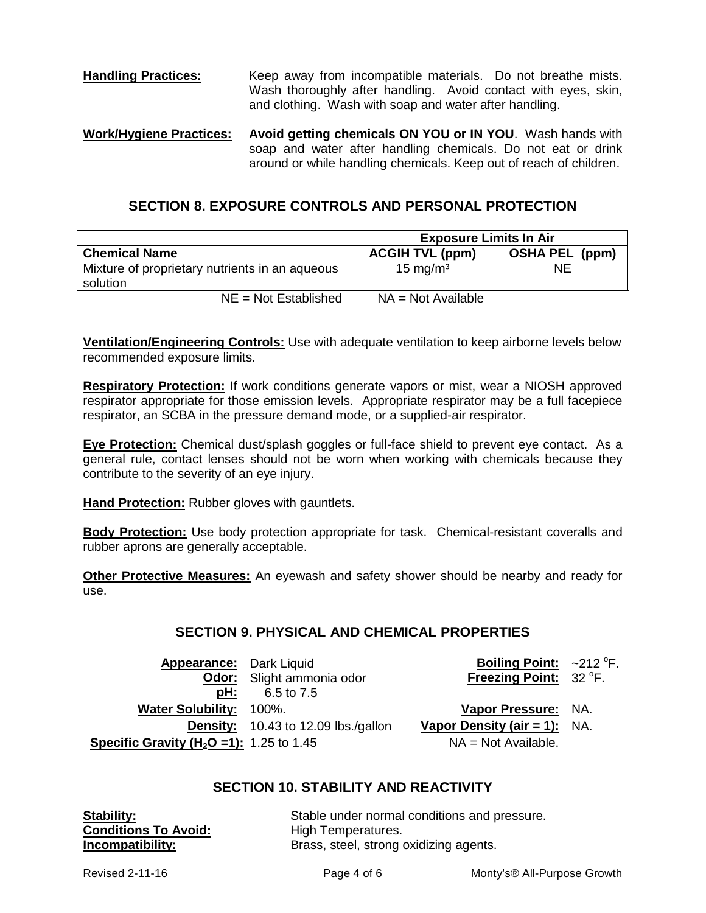**Handling Practices:** Keep away from incompatible materials. Do not breathe mists. Wash thoroughly after handling. Avoid contact with eyes, skin, and clothing. Wash with soap and water after handling.

**Work/Hygiene Practices: Avoid getting chemicals ON YOU or IN YOU**. Wash hands with soap and water after handling chemicals. Do not eat or drink around or while handling chemicals. Keep out of reach of children.

## **SECTION 8. EXPOSURE CONTROLS AND PERSONAL PROTECTION**

|                                                            | <b>Exposure Limits In Air</b> |                       |
|------------------------------------------------------------|-------------------------------|-----------------------|
| <b>Chemical Name</b>                                       | <b>ACGIH TVL (ppm)</b>        | <b>OSHA PEL (ppm)</b> |
| Mixture of proprietary nutrients in an aqueous<br>solution | $15 \text{ mg/m}^3$           | NE                    |
| $NE = Not$ Established                                     | $NA = Not Available$          |                       |

**Ventilation/Engineering Controls:** Use with adequate ventilation to keep airborne levels below recommended exposure limits.

**Respiratory Protection:** If work conditions generate vapors or mist, wear a NIOSH approved respirator appropriate for those emission levels. Appropriate respirator may be a full facepiece respirator, an SCBA in the pressure demand mode, or a supplied-air respirator.

**Eye Protection:** Chemical dust/splash goggles or full-face shield to prevent eye contact. As a general rule, contact lenses should not be worn when working with chemicals because they contribute to the severity of an eye injury.

**Hand Protection:** Rubber gloves with gauntlets.

**Body Protection:** Use body protection appropriate for task. Chemical-resistant coveralls and rubber aprons are generally acceptable.

**Other Protective Measures:** An eyewash and safety shower should be nearby and ready for use.

## **SECTION 9. PHYSICAL AND CHEMICAL PROPERTIES**

**Appearance:** Dark Liquid **Odor:** Slight ammonia odor<br>**pH:** 6.5 to 7.5 **pH:** 6.5 to 7.5 **Water Solubility:** 100%. **Vapor Pressure:** NA. **Density:** 10.43 to 12.09 lbs./gallon  $\vert$  **Vapor Density (air = 1):** NA. **Specific Gravity (H<sub>2</sub>O =1):** 1.25 to 1.45  $\vert$  NA = Not Available.

Boiling Point:  $\sim$ 212 °F. Freezing Point: 32 °F.

## **SECTION 10. STABILITY AND REACTIVITY**

**Conditions To Avoid:**<br>Incompatibility:

**Stability:**<br> **Conditions To Avoid:** Stable under normal conditions and pressure.<br>
Conditions To Avoid: High Temperatures. Brass, steel, strong oxidizing agents.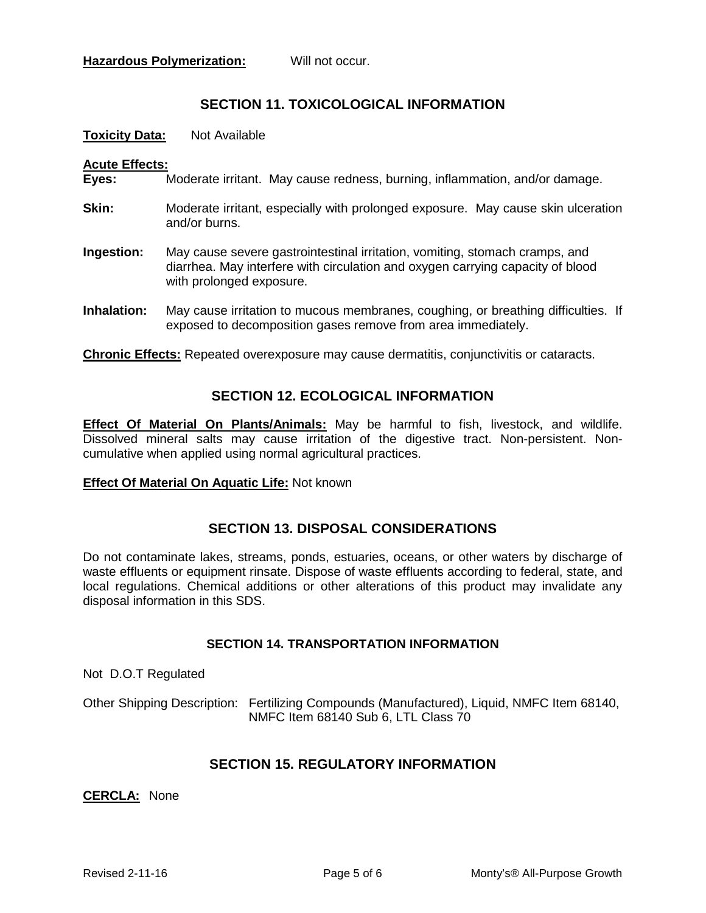## **SECTION 11. TOXICOLOGICAL INFORMATION**

**Toxicity Data:** Not Available

#### **Acute Effects:**

- **Eyes:** Moderate irritant. May cause redness, burning, inflammation, and/or damage.
- **Skin:** Moderate irritant, especially with prolonged exposure. May cause skin ulceration and/or burns.
- **Ingestion:** May cause severe gastrointestinal irritation, vomiting, stomach cramps, and diarrhea. May interfere with circulation and oxygen carrying capacity of blood with prolonged exposure.
- **Inhalation:** May cause irritation to mucous membranes, coughing, or breathing difficulties. If exposed to decomposition gases remove from area immediately.

**Chronic Effects:** Repeated overexposure may cause dermatitis, conjunctivitis or cataracts.

## **SECTION 12. ECOLOGICAL INFORMATION**

**Effect Of Material On Plants/Animals:** May be harmful to fish, livestock, and wildlife. Dissolved mineral salts may cause irritation of the digestive tract. Non-persistent. Noncumulative when applied using normal agricultural practices.

#### **Effect Of Material On Aquatic Life:** Not known

## **SECTION 13. DISPOSAL CONSIDERATIONS**

Do not contaminate lakes, streams, ponds, estuaries, oceans, or other waters by discharge of waste effluents or equipment rinsate. Dispose of waste effluents according to federal, state, and local regulations. Chemical additions or other alterations of this product may invalidate any disposal information in this SDS.

#### **SECTION 14. TRANSPORTATION INFORMATION**

Not D.O.T Regulated

Other Shipping Description: Fertilizing Compounds (Manufactured), Liquid, NMFC Item 68140, NMFC Item 68140 Sub 6, LTL Class 70

## **SECTION 15. REGULATORY INFORMATION**

**CERCLA:** None